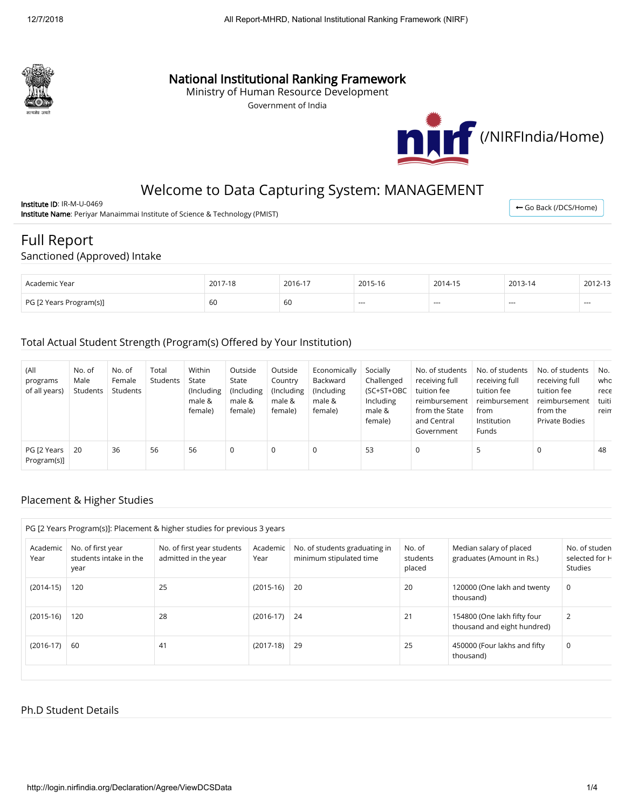

## National Institutional Ranking Framework

Ministry of Human Resource Development

Government of India



← [Go Back \(/DCS/Home\)](http://login.nirfindia.org/DCS/Home)

# Welcome to Data Capturing System: MANAGEMENT

Institute ID: IR-M-U-0469 Institute Name: Periyar Manaimmai Institute of Science & Technology (PMIST)

## Full Report

#### Sanctioned (Approved) Intake

| Academic Year           | $2017 -$<br>$7 - 18$ | 2016-17 | 2015-16 | 2014-15 | 2013-14 | 2012-13 |
|-------------------------|----------------------|---------|---------|---------|---------|---------|
| PG [2 Years Program(s)] | 60                   | 60      | $- - -$ | $- - -$ | ---     | ---     |

### Total Actual Student Strength (Program(s) Offered by Your Institution)

| (All<br>programs<br>of all years) | No. of<br>Male<br>Students | No. of<br>Female<br>Students | Total<br>Students | Within<br>State<br>(Including<br>male &<br>female) | Outside<br>State<br>(Including<br>male &<br>female) | Outside<br>Country<br>(Including<br>male &<br>female) | Economically<br>Backward<br>(Including)<br>male &<br>female) | Socially<br>Challenged<br>(SC+ST+OBC<br>Including<br>male &<br>female) | No. of students<br>receiving full<br>tuition fee<br>reimbursement<br>from the State<br>and Central<br>Government | No. of students<br>receiving full<br>tuition fee<br>reimbursement<br>from<br>Institution<br>Funds | No. of students<br>receiving full<br>tuition fee<br>reimbursement<br>from the<br>Private Bodies | No.<br>who<br>rece<br>tuiti<br>reim |
|-----------------------------------|----------------------------|------------------------------|-------------------|----------------------------------------------------|-----------------------------------------------------|-------------------------------------------------------|--------------------------------------------------------------|------------------------------------------------------------------------|------------------------------------------------------------------------------------------------------------------|---------------------------------------------------------------------------------------------------|-------------------------------------------------------------------------------------------------|-------------------------------------|
| PG [2 Years<br>Program(s)]        | 20                         | 36                           | 56                | 56                                                 | 0                                                   | 0                                                     | 0                                                            | 53                                                                     | 0                                                                                                                | 5                                                                                                 | $\Omega$                                                                                        | 48                                  |

### Placement & Higher Studies

|                  |                                                     | PG [2 Years Program(s)]: Placement & higher studies for previous 3 years |                  |                                                          |                              |                                                            |                                                   |
|------------------|-----------------------------------------------------|--------------------------------------------------------------------------|------------------|----------------------------------------------------------|------------------------------|------------------------------------------------------------|---------------------------------------------------|
| Academic<br>Year | No. of first year<br>students intake in the<br>year | No. of first year students<br>admitted in the year                       | Academic<br>Year | No. of students graduating in<br>minimum stipulated time | No. of<br>students<br>placed | Median salary of placed<br>graduates (Amount in Rs.)       | No. of studen<br>selected for H<br><b>Studies</b> |
| $(2014-15)$      | 120                                                 | 25                                                                       | $(2015-16)$      | $\vert$ 20                                               | 20                           | 120000 (One lakh and twenty<br>thousand)                   | 0                                                 |
| $(2015-16)$      | 120                                                 | 28                                                                       | $(2016-17)$      | $\sqrt{24}$                                              | 21                           | 154800 (One lakh fifty four<br>thousand and eight hundred) | $\overline{2}$                                    |
| $(2016-17)$      | -60                                                 | 41                                                                       | $(2017-18)$      | 29                                                       | 25                           | 450000 (Four lakhs and fifty<br>thousand)                  | 0                                                 |

### Ph.D Student Details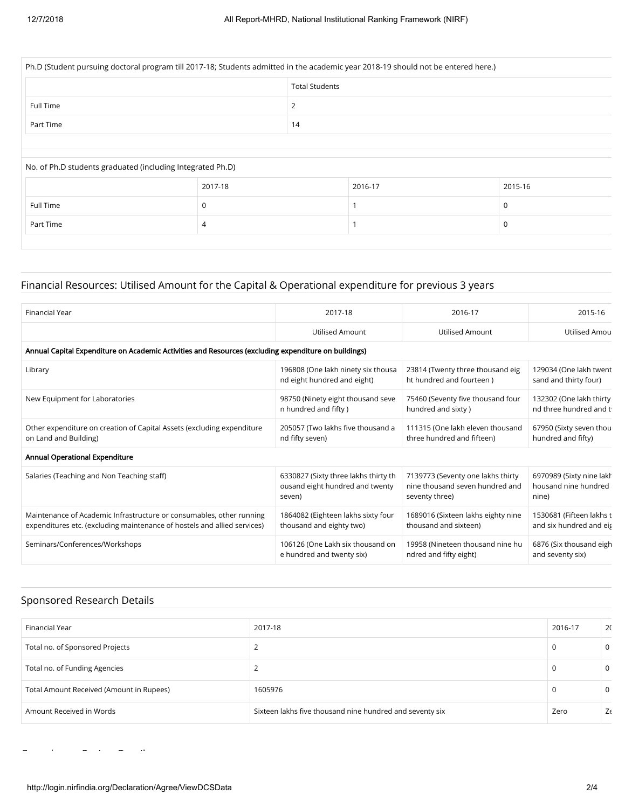| Ph.D (Student pursuing doctoral program till 2017-18; Students admitted in the academic year 2018-19 should not be entered here.) |          |                       |         |          |  |  |  |  |
|-----------------------------------------------------------------------------------------------------------------------------------|----------|-----------------------|---------|----------|--|--|--|--|
|                                                                                                                                   |          | <b>Total Students</b> |         |          |  |  |  |  |
| Full Time                                                                                                                         | 2        |                       |         |          |  |  |  |  |
| Part Time                                                                                                                         | 14       |                       |         |          |  |  |  |  |
|                                                                                                                                   |          |                       |         |          |  |  |  |  |
| No. of Ph.D students graduated (including Integrated Ph.D)                                                                        |          |                       |         |          |  |  |  |  |
|                                                                                                                                   | 2017-18  |                       | 2016-17 | 2015-16  |  |  |  |  |
| Full Time                                                                                                                         | $\Omega$ |                       |         | $\Omega$ |  |  |  |  |
| Part Time                                                                                                                         | 4        |                       |         | 0        |  |  |  |  |
|                                                                                                                                   |          |                       |         |          |  |  |  |  |

### Financial Resources: Utilised Amount for the Capital & Operational expenditure for previous 3 years

| Financial Year                                                                                       | 2017-18                              | 2016-17                            | 2015-16                  |
|------------------------------------------------------------------------------------------------------|--------------------------------------|------------------------------------|--------------------------|
|                                                                                                      | Utilised Amount                      | Utilised Amount                    | Utilised Amou            |
| Annual Capital Expenditure on Academic Activities and Resources (excluding expenditure on buildings) |                                      |                                    |                          |
| Library                                                                                              | 196808 (One lakh ninety six thousa   | 23814 (Twenty three thousand eig   | 129034 (One lakh twent   |
|                                                                                                      | nd eight hundred and eight)          | ht hundred and fourteen)           | sand and thirty four)    |
| New Equipment for Laboratories                                                                       | 98750 (Ninety eight thousand seve    | 75460 (Seventy five thousand four  | 132302 (One lakh thirty  |
|                                                                                                      | n hundred and fifty)                 | hundred and sixty)                 | nd three hundred and t   |
| Other expenditure on creation of Capital Assets (excluding expenditure                               | 205057 (Two lakhs five thousand a    | 111315 (One lakh eleven thousand   | 67950 (Sixty seven thou  |
| on Land and Building)                                                                                | nd fifty seven)                      | three hundred and fifteen)         | hundred and fifty)       |
| Annual Operational Expenditure                                                                       |                                      |                                    |                          |
| Salaries (Teaching and Non Teaching staff)                                                           | 6330827 (Sixty three lakhs thirty th | 7139773 (Seventy one lakhs thirty  | 6970989 (Sixty nine lakh |
|                                                                                                      | ousand eight hundred and twenty      | nine thousand seven hundred and    | housand nine hundred     |
|                                                                                                      | seven)                               | seventy three)                     | nine)                    |
| Maintenance of Academic Infrastructure or consumables, other running                                 | 1864082 (Eighteen lakhs sixty four   | 1689016 (Sixteen lakhs eighty nine | 1530681 (Fifteen lakhs t |
| expenditures etc. (excluding maintenance of hostels and allied services)                             | thousand and eighty two)             | thousand and sixteen)              | and six hundred and eig  |
| Seminars/Conferences/Workshops                                                                       | 106126 (One Lakh six thousand on     | 19958 (Nineteen thousand nine hu   | 6876 (Six thousand eigh  |
|                                                                                                      | e hundred and twenty six)            | ndred and fifty eight)             | and seventy six)         |

### Sponsored Research Details

C l P j D il

| Financial Year                           | 2017-18                                                  | 2016-17 | 2 <sup>c</sup> |
|------------------------------------------|----------------------------------------------------------|---------|----------------|
| Total no. of Sponsored Projects          |                                                          | 0       | 0              |
| Total no. of Funding Agencies            |                                                          |         | 0              |
| Total Amount Received (Amount in Rupees) | 1605976                                                  | 0       | 0              |
| Amount Received in Words                 | Sixteen lakhs five thousand nine hundred and seventy six | Zero    | Zε             |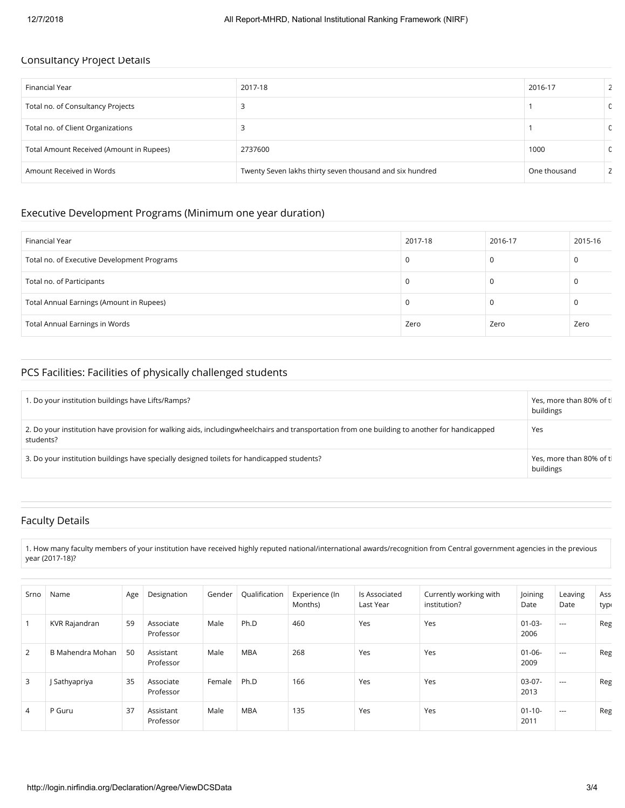#### Consultancy Project Details

| Financial Year                           | 2017-18                                                  | 2016-17      |             |
|------------------------------------------|----------------------------------------------------------|--------------|-------------|
| Total no. of Consultancy Projects        |                                                          |              | $\Omega$    |
| Total no. of Client Organizations        |                                                          |              | $\mathbf 0$ |
| Total Amount Received (Amount in Rupees) | 2737600                                                  | 1000         | $\Omega$    |
| Amount Received in Words                 | Twenty Seven lakhs thirty seven thousand and six hundred | One thousand |             |

#### Executive Development Programs (Minimum one year duration)

| Financial Year                              | 2017-18 | 2016-17 | 2015-16 |
|---------------------------------------------|---------|---------|---------|
| Total no. of Executive Development Programs |         |         |         |
| Total no. of Participants                   |         |         | υ       |
| Total Annual Earnings (Amount in Rupees)    |         |         |         |
| Total Annual Earnings in Words              | Zero    | Zero    | Zero    |

### PCS Facilities: Facilities of physically challenged students

| 1. Do your institution buildings have Lifts/Ramps?                                                                                                        | Yes, more than 80% of tl<br>buildings |
|-----------------------------------------------------------------------------------------------------------------------------------------------------------|---------------------------------------|
| 2. Do your institution have provision for walking aids, includingwheelchairs and transportation from one building to another for handicapped<br>students? | Yes                                   |
| 3. Do your institution buildings have specially designed toilets for handicapped students?                                                                | Yes, more than 80% of tl<br>buildings |

### Faculty Details

1. How many faculty members of your institution have received highly reputed national/international awards/recognition from Central government agencies in the previous year (2017-18)?

| Srno           | Name             | Age | Designation            | Gender | Qualification | Experience (In<br>Months) | ls Associated<br>Last Year | Currently working with<br>institution? | Joining<br>Date     | Leaving<br>Date | Ass <sub>1</sub><br>typt |
|----------------|------------------|-----|------------------------|--------|---------------|---------------------------|----------------------------|----------------------------------------|---------------------|-----------------|--------------------------|
|                | KVR Rajandran    | 59  | Associate<br>Professor | Male   | Ph.D          | 460                       | Yes                        | Yes                                    | $01 - 03 -$<br>2006 | $---$           | Reg                      |
| $\overline{2}$ | B Mahendra Mohan | 50  | Assistant<br>Professor | Male   | <b>MBA</b>    | 268                       | Yes                        | Yes                                    | $01 - 06 -$<br>2009 | $---$           | Reg                      |
| 3              | J Sathyapriya    | 35  | Associate<br>Professor | Female | Ph.D          | 166                       | Yes                        | Yes                                    | $03-07-$<br>2013    | $---$           | Reg                      |
| 4              | P Guru           | 37  | Assistant<br>Professor | Male   | <b>MBA</b>    | 135                       | Yes                        | Yes                                    | $01 - 10 -$<br>2011 | $---$           | Reg                      |